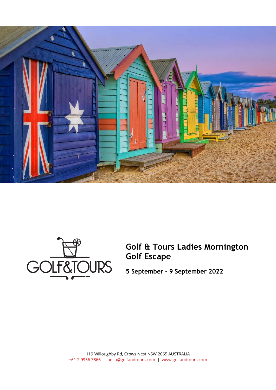



**Golf & Tours Ladies Mornington Golf Escape**

**5 September - 9 September 2022**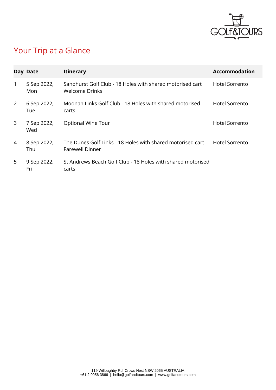

# Your Trip at a Glance

|   | Day Date           | <b>Itinerary</b>                                                                     | <b>Accommodation</b>  |
|---|--------------------|--------------------------------------------------------------------------------------|-----------------------|
| 1 | 5 Sep 2022,<br>Mon | Sandhurst Golf Club - 18 Holes with shared motorised cart<br><b>Welcome Drinks</b>   | <b>Hotel Sorrento</b> |
| 2 | 6 Sep 2022,<br>Tue | Moonah Links Golf Club - 18 Holes with shared motorised<br>carts                     | Hotel Sorrento        |
| 3 | 7 Sep 2022,<br>Wed | <b>Optional Wine Tour</b>                                                            | <b>Hotel Sorrento</b> |
| 4 | 8 Sep 2022,<br>Thu | The Dunes Golf Links - 18 Holes with shared motorised cart<br><b>Farewell Dinner</b> | Hotel Sorrento        |
| 5 | 9 Sep 2022,<br>Fri | St Andrews Beach Golf Club - 18 Holes with shared motorised<br>carts                 |                       |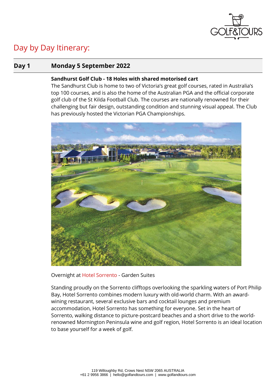

## Day by Day Itinerary:

## **Day 1 Monday 5 September 2022**

## **Sandhurst Golf Club - 18 Holes with shared motorised cart**

The Sandhurst Club is home to two of Victoria's great golf courses, rated in Australia's top 100 courses, and is also the home of the Australian PGA and the official corporate golf club of the St Kilda Football Club. The courses are nationally renowned for their challenging but fair design, outstanding condition and stunning visual appeal. The Club has previously hosted the Victorian PGA Championships.



Overnight at [Hotel Sorrento](https://hotelsorrento.com.au/) - Garden Suites

Standing proudly on the Sorrento clifftops overlooking the sparkling waters of Port Philip Bay, Hotel Sorrento combines modern luxury with old-world charm. With an awardwining restaurant, several exclusive bars and cocktail lounges and premium accommodation, Hotel Sorrento has something for everyone. Set in the heart of Sorrento, walking distance to picture-postcard beaches and a short drive to the worldrenowned Mornington Peninsula wine and golf region, Hotel Sorrento is an ideal location to base yourself for a week of golf.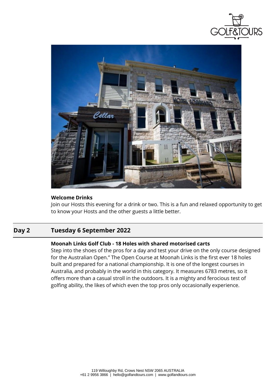



## **Welcome Drinks**

Join our Hosts this evening for a drink or two. This is a fun and relaxed opportunity to get to know your Hosts and the other guests a little better.

## **Day 2 Tuesday 6 September 2022**

## **Moonah Links Golf Club - 18 Holes with shared motorised carts**

Step into the shoes of the pros for a day and test your drive on the only course designed for the Australian Open." The Open Course at Moonah Links is the first ever 18 holes built and prepared for a national championship. It is one of the longest courses in Australia, and probably in the world in this category. It measures 6783 metres, so it offers more than a casual stroll in the outdoors. It is a mighty and ferocious test of golfing ability, the likes of which even the top pros only occasionally experience.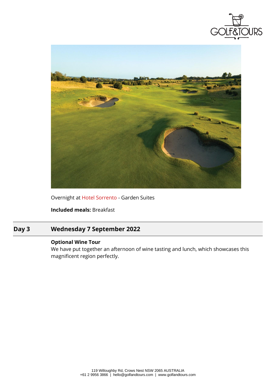![](_page_4_Picture_0.jpeg)

![](_page_4_Picture_1.jpeg)

Overnight at [Hotel Sorrento](https://hotelsorrento.com.au/) - Garden Suites

**Included meals:** Breakfast

## **Day 3 Wednesday 7 September 2022**

## **Optional Wine Tour**

We have put together an afternoon of wine tasting and lunch, which showcases this magnificent region perfectly.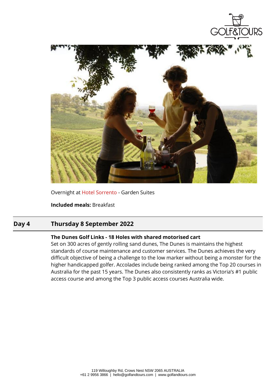![](_page_5_Picture_0.jpeg)

![](_page_5_Picture_1.jpeg)

Overnight at [Hotel Sorrento](https://hotelsorrento.com.au/) - Garden Suites

**Included meals:** Breakfast

## **Day 4 Thursday 8 September 2022**

#### **The Dunes Golf Links - 18 Holes with shared motorised cart**

Set on 300 acres of gently rolling sand dunes, The Dunes is maintains the highest standards of course maintenance and customer services. The Dunes achieves the very difficult objective of being a challenge to the low marker without being a monster for the higher handicapped golfer. Accolades include being ranked among the Top 20 courses in Australia for the past 15 years. The Dunes also consistently ranks as Victoria's #1 public access course and among the Top 3 public access courses Australia wide.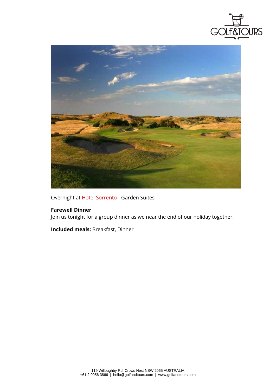![](_page_6_Picture_0.jpeg)

![](_page_6_Picture_1.jpeg)

Overnight at [Hotel Sorrento](https://hotelsorrento.com.au/) - Garden Suites

### **Farewell Dinner**

Join us tonight for a group dinner as we near the end of our holiday together.

**Included meals:** Breakfast, Dinner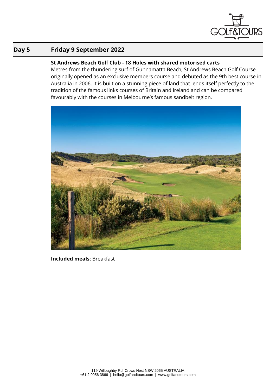![](_page_7_Picture_0.jpeg)

## **Day 5 Friday 9 September 2022**

## **St Andrews Beach Golf Club - 18 Holes with shared motorised carts**

Metres from the thundering surf of Gunnamatta Beach, St Andrews Beach Golf Course originally opened as an exclusive members course and debuted as the 9th best course in Australia in 2006. It is built on a stunning piece of land that lends itself perfectly to the tradition of the famous links courses of Britain and Ireland and can be compared favourably with the courses in Melbourne's famous sandbelt region.

![](_page_7_Picture_4.jpeg)

**Included meals:** Breakfast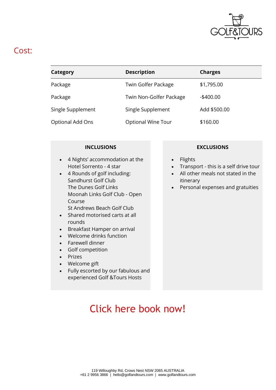![](_page_8_Picture_0.jpeg)

## Cost:

| Category          | <b>Description</b>      | <b>Charges</b> |
|-------------------|-------------------------|----------------|
| Package           | Twin Golfer Package     | \$1,795.00     |
| Package           | Twin Non-Golfer Package | $-$ \$400.00   |
| Single Supplement | Single Supplement       | Add \$500.00   |
| Optional Add Ons  | Optional Wine Tour      | \$160.00       |

- 4 Nights' accommodation at the Hotel Sorrento - 4 star
- 4 Rounds of golf including: Sandhurst Golf Club The Dunes Golf Links Moonah Links Golf Club - Open Course St Andrews Beach Golf Club
- Shared motorised carts at all rounds
- Breakfast Hamper on arrival
- Welcome drinks function
- Farewell dinner
- Golf competition
- **Prizes**
- Welcome gift
- Fully escorted by our fabulous and experienced Golf &Tours Hosts

## **INCLUSIONS EXCLUSIONS**

- **Flights**
- Transport this is a self drive tour
- All other meals not stated in the itinerary
- Personal expenses and gratuities

# [Click here book now!](https://client.golfandtours.com/Booking?DC=AS1052b:20220905)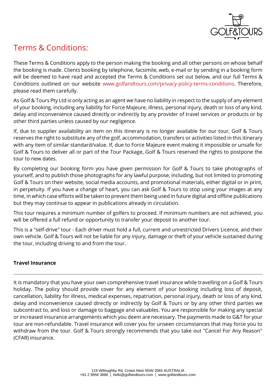![](_page_9_Picture_0.jpeg)

## Terms & Conditions:

These Terms & Conditions apply to the person making the booking and all other persons on whose behalf the booking is made. Clients booking by telephone, facsimile, web, e-mail or by sending in a booking form will be deemed to have read and accepted the Terms & Conditions set out below, and our full Terms & Conditions outlined on our website [www.golfandtours.com/privacy-policy-terms-conditions.](https://www.golfandtours.com/privacy-policy-terms-conditions) Therefore, please read them carefully.

As Golf & Tours Pty Ltd is only acting as an agent we have no liability in respect to the supply of any element of your booking, including any liability for Force Majeure, illness, personal injury, death or loss of any kind, delay and inconvenience caused directly or indirectly by any provider of travel services or products or by other third parties unless caused by our negligence.

If, due to supplier availability an item on this itinerary is no longer available for our tour, Golf & Tours reserves the right to substitute any of the golf, accommodation, transfers or activities listed in this itinerary with any item of similar standard/value. If, due to Force Majeure event making it impossible or unsafe for Golf & Tours to deliver all or part of the Tour Package, Golf & Tours reserved the rights to postpone the tour to new dates.

By completing our booking form you have given permission for Golf & Tours to take photographs of yourself, and to publish those photographs for any lawful purpose, including, but not limited to promoting Golf & Tours on their website, social media accounts, and promotional materials, either digital or in print, in perpetuity. If you have a change of heart, you can ask Golf & Tours to stop using your images at any time, in which case efforts will be taken to prevent them being used in future digital and offline publications but they may continue to appear in publications already in circulation.

This tour requires a minimum number of golfers to proceed. If minimum numbers are not achieved, you will be offered a full refund or opportunity to transfer your deposit to another tour.

This is a "self-drive" tour - Each driver must hold a full, current and unrestricted Drivers Licence, and their own vehicle. Golf & Tours will not be liable for any injury, damage or theft of your vehicle sustained during the tour, including driving to and from the tour.

## **Travel Insurance**

It is mandatory that you have your own comprehensive travel insurance while travelling on a Golf & Tours holiday. The policy should provide cover for any element of your booking including loss of deposit, cancellation, liability for illness, medical expenses, repatriation, personal injury, death or loss of any kind, delay and inconvenience caused directly or indirectly by Golf & Tours or by any other third parties we subcontract to, and loss or damage to baggage and valuables. You are responsible for making any special or increased insurance arrangements which you deem are necessary. The payments made to G&T for your tour are non-refundable. Travel insurance will cover you for unseen circumstances that may force you to withdraw from the tour. Golf & Tours strongly recommends that you take out "Cancel For Any Reason" (CFAR) insurance.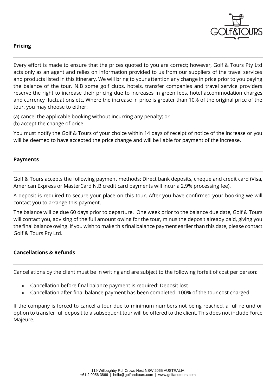![](_page_10_Picture_0.jpeg)

## **Pricing**

Every effort is made to ensure that the prices quoted to you are correct; however, Golf & Tours Pty Ltd acts only as an agent and relies on information provided to us from our suppliers of the travel services and products listed in this itinerary. We will bring to your attention any change in price prior to you paying the balance of the tour. N.B some golf clubs, hotels, transfer companies and travel service providers reserve the right to increase their pricing due to increases in green fees, hotel accommodation charges and currency fluctuations etc. Where the increase in price is greater than 10% of the original price of the tour, you may choose to either:

(a) cancel the applicable booking without incurring any penalty; or

(b) accept the change of price

You must notify the Golf & Tours of your choice within 14 days of receipt of notice of the increase or you will be deemed to have accepted the price change and will be liable for payment of the increase.

## **Payments**

Golf & Tours accepts the following payment methods: Direct bank deposits, cheque and credit card (Visa, American Express or MasterCard N.B credit card payments will incur a 2.9% processing fee).

A deposit is required to secure your place on this tour. After you have confirmed your booking we will contact you to arrange this payment.

The balance will be due 60 days prior to departure. One week prior to the balance due date, Golf & Tours will contact you, advising of the full amount owing for the tour, minus the deposit already paid, giving you the final balance owing. If you wish to make this final balance payment earlier than this date, please contact Golf & Tours Pty Ltd.

## **Cancellations & Refunds**

Cancellations by the client must be in writing and are subject to the following forfeit of cost per person:

- Cancellation before final balance payment is required: Deposit lost
- Cancellation after final balance payment has been completed: 100% of the tour cost charged

If the company is forced to cancel a tour due to minimum numbers not being reached, a full refund or option to transfer full deposit to a subsequent tour will be offered to the client. This does not include Force Majeure.